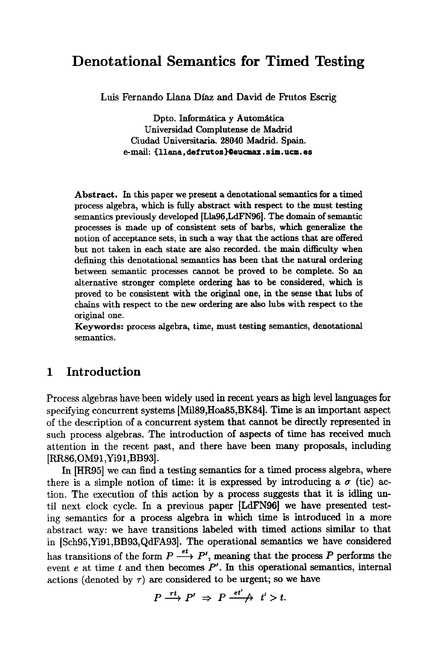# **Denotational Semantics for Timed Testing**

Luis Fernando Liana Diaz and David de Frutos Escrig

Dpto. Informática y Automática Universidad Complutense de Madrid Ciudad Universitaria. 28040 Madrid. Spain.  $e$ -mail: {llana, defrutos}@eucmax.sim.ucm.es

**Abstract.** In this paper we present a denotational semantics for a timed process algebra, which is fully abstract with respect to the must testing semantics previously developed [Lla96,LdFN96]. The domain of semantic processes is made up of consistent sets of barbs, which generalize the notion of acceptance sets, in such a way that the actions that are offered but not taken in each state are also recorded, the main difficulty when defining this denotational semantics has been that the natural ordering between semantic processes cannot be proved to be complete. So an alternative stronger complete ordering has to be considered, which is proved to be consistent with the original one, in the sense that lubs of chains with respect to the new ordering are also lubs with respect to the original one.

Keywords: process algebra, time, must testing semantics, denotational semantics.

# **1 Introduction**

Process algebras have been widely used in recent years as high level languages for specifying concurrent systems [Mi189,Hoa85,BK84]. Time is an important aspect of the description of a concurrent system that cannot be directly represented in such process algebras. The introduction of aspects of time has received much attention in the recent past, and there have been many proposals, including [RR86,OM91,Yi91,BB93].

In [HR95] we can find a testing semantics for a timed process algebra, where there is a simple notion of time: it is expressed by introducing a  $\sigma$  (tic) action. The execution of this action by a process suggests that it is idling until next clock cycle. In a previous paper [LdFN96] we have presented testing semantics for a process algebra in which time is introduced in a more abstract way: we have transitions labeled with timed actions similar to that in [Sch95,Yi91,BB93,QdFA93]. The operational semantics we have considered has transitions of the form  $P \stackrel{et}{\longrightarrow} P'$ , meaning that the process P performs the event  $e$  at time  $t$  and then becomes  $P'$ . In this operational semantics, internal actions (denoted by  $\tau$ ) are considered to be urgent; so we have

$$
P \xrightarrow{\tau t} P' \Rightarrow P \xrightarrow{et'} \qquad t' > t.
$$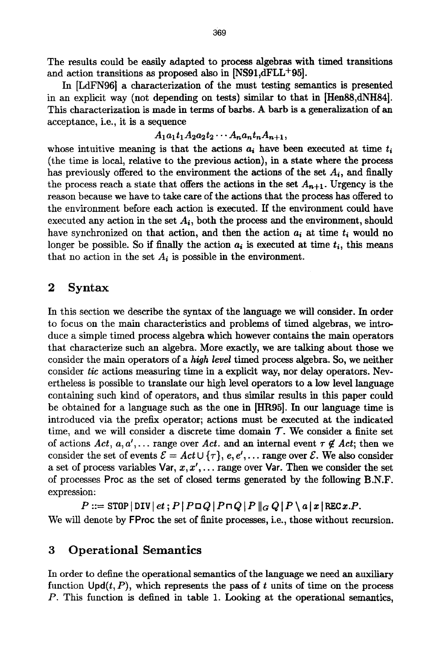The results could be easily adapted to process algebras with timed transitions and action transitions as proposed also in [NS91,dFLL+95].

In [LdFN96] a characterization of the must testing semantics is presented in an explicit way (not depending on tests) similar to that in [Hen88,dNH84]. This characterization is made in terms of barbs. A barb is a generalization of an acceptance, i.e., it is a sequence

### $A_1 a_1 t_1 A_2 a_2 t_2 \cdots A_n a_n t_n A_{n+1},$

whose intuitive meaning is that the actions  $a_i$  have been executed at time  $t_i$ (the time is local, relative to the previous action), in a state where the process has previously offered to the environment the actions of the set  $A_i$ , and finally the process reach a state that offers the actions in the set  $A_{n+1}$ . Urgency is the reason because we have to take care of the actions that the process has offered to the environment before each action is executed. If the environment could have executed any action in the set  $A_i$ , both the process and the environment, should have synchronized on that action, and then the action  $a_i$  at time  $t_i$  would no longer be possible. So if finally the action  $a_i$  is executed at time  $t_i$ , this means that no action in the set  $A_i$  is possible in the environment.

# 2 Syntax

In this section we describe the syntax of the language we will consider. In order to focus on the main characteristics and problems of timed algebras, we introduce a simple timed process algebra which however contains the main operators that characterize such an algebra. More exactly, we are talking about those we consider the main operators of a *high level* timed process algebra. So, we neither consider *tic* actions measuring time in a explicit way, nor delay operators. Nevertheless is possible to translate our high level operators to a low level language containing such kind of operators, and thus similar results in this paper could be obtained for a language such as the one in [HR95]. In our language time is introduced via the prefix operator; actions must be executed at the indicated time, and we will consider a discrete time domain  $\mathcal{T}$ . We consider a finite set of actions  $Act, a, a', \ldots$  range over Act. and an internal event  $\tau \notin Act$ ; then we consider the set of events  $\mathcal{E} = Act \cup \{\tau\}$ , e, e',... range over  $\mathcal{E}$ . We also consider a set of process variables Var,  $x, x', \ldots$  range over Var. Then we consider the set of processes Proc as the set of closed terms generated by the following B.N.F. expression:

 $P ::=$  STOP | DIV |  $et$ ;  $P$  |  $P \Box Q$  |  $P \Box Q$  |  $P \parallel_G Q$  |  $P \setminus a \vert x \vert$  REC  $x.P$ . We will denote by FProc the set of finite processes, i.e., those without recursion.

# 3 Operational Semantics

In order to define the operational semantics of the language we need an auxiliary function  $\text{Upd}(t, P)$ , which represents the pass of t units of time on the process P. This function is defined in table 1. Looking at the operational semantics,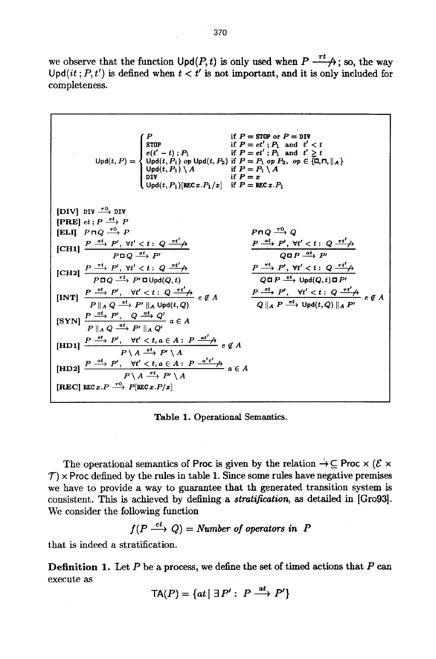we observe that the function  $\text{Upd}(P, t)$  is only used when  $P \xrightarrow{rt}$ ; so, the way Upd(it;  $P, t'$ ) is defined when  $t < t'$  is not important, and it is only included for completeness.

| 1                                                                                                                                                                                                                                                                                                                                                                                                                                                                                                                                                                                                                                                                                                                                                                                                                                                                                                                                                                                                                                                                                                                                                                                                                                                                                                                                                                                                                                                                                                                                   | 1 | 1 |
|-------------------------------------------------------------------------------------------------------------------------------------------------------------------------------------------------------------------------------------------------------------------------------------------------------------------------------------------------------------------------------------------------------------------------------------------------------------------------------------------------------------------------------------------------------------------------------------------------------------------------------------------------------------------------------------------------------------------------------------------------------------------------------------------------------------------------------------------------------------------------------------------------------------------------------------------------------------------------------------------------------------------------------------------------------------------------------------------------------------------------------------------------------------------------------------------------------------------------------------------------------------------------------------------------------------------------------------------------------------------------------------------------------------------------------------------------------------------------------------------------------------------------------------|---|---|
| \n $[Q] = \int_{\text{max}}^{P} \frac{d\theta}{dt} \int_{\text{max}}^{P} \frac{d\theta}{dt} \int_{\text{max}}^{P} \frac{d\theta}{dt} \int_{\text{max}}^{P} \frac{d\theta}{dt} \int_{\text{max}}^{P} \frac{d\theta}{dt} \int_{\text{max}}^{P} \frac{d\theta}{dt} \int_{\text{max}}^{P} \frac{d\theta}{dt} \int_{\text{max}}^{P} \frac{d\theta}{dt} \int_{\text{max}}^{P} \frac{d\theta}{dt} \int_{\text{max}}^{P} \frac{d\theta}{dt} \int_{\text{max}}^{P} \frac{d\theta}{dt} \int_{\text{max}}^{P} \frac{d\theta}{dt} \int_{\text{max}}^{P} \frac{d\theta}{dt} \int_{\text{max}}^{P} \frac{d\theta}{dt} \int_{\text{max}}^{P} \frac{d\theta}{dt} \int_{\text{max}}^{P} \frac{d\theta}{dt} \int_{\text{max}}^{P} \frac{d\theta}{dt} \int_{\text{max}}^{P} \frac{d\theta}{dt} \int_{\text{max}}^{P} \frac{d\theta}{dt} \int_{\text{max}}^{P} \frac{d\theta}{dt} \int_{\text{max}}^{P} \frac{d\theta}{dt} \int_{\text{max}}^{P} \frac{d\theta}{dt} \int_{\text{max}}^{P} \frac{d\theta}{dt} \int_{\text{max}}^{P} \frac{d\theta}{dt} \int_{\text{max}}^{P} \frac{d\theta}{dt} \int_{\text{max}}^{P} \frac{d\theta}{dt} \int_{\text{max}}^{P} \frac{d\theta}{dt} \int_{\text{max}}^{P} \frac{d\theta}{dt} \int_{\text{max}}^{P} \frac{d\theta}{dt} \int_{\text{max}}^{P} \frac{d\theta}{dt} \int_{\text{max}}^{P} \frac{d\theta}{dt} \int_{\text{max}}^{P} \frac{d\theta}{dt} \int_{\text{max}}^{P} \frac{d\theta}{dt} \int_{\text{max}}^{P} \frac{d\theta}{dt} \int_{\text{max}}^{P} \frac{d\theta}{dt} \int_{\text{max}}^{P} \frac{d$ |   |   |

**Table 1. Operational Semantics.** 

The operational semantics of Proc is given by the relation  $\rightarrow \subseteq$  Proc  $\times$  ( $\mathcal{E} \times$  $\mathcal{T}$ ) x Proc defined by the rules in table 1. Since some rules have negative premises we have to provide a way to guarantee that th generated transition system is consistent. This is achieved by defining a *stratification, as* detailed in [Gro93]. We consider the following function

$$
f(P \xrightarrow{et} Q) =
$$
Number of operators in P

that is indeed a stratification.

**Definition 1. Let P be a** process, we define the set of timed actions that P can execute as

$$
TA(P) = \{at \mid \exists P': P \xrightarrow{at} P'\}
$$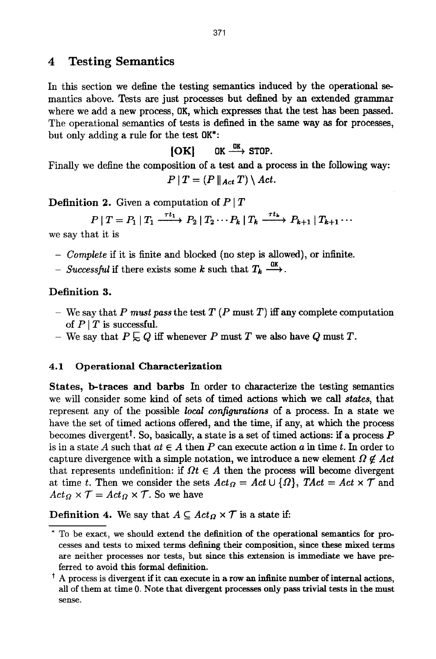# **4 Testing Semantics**

In this section we define the testing semantics induced by the operational semantics above. Tests are just processes but defined by an extended grammar where we add a new process, OK, which expresses that the test has been passed. The operational semantics of tests is defined in the same way as for processes, but only adding a rule for the test  $\mathbf{0}K^*$ :

 $[OK]$  OK  $\stackrel{OK}{\longrightarrow}$  STOP.

Finally we define the composition of a test and a process in the following way:

$$
P \mid T = (P \mid_{Act} T) \setminus Act.
$$

**Definition 2.** Given a computation of  $P | T$ 

 $P[T = P_1 | T_1 \xrightarrow{rt_1} P_2 | T_2 \cdots P_k | T_k \xrightarrow{rt_k} P_{k+1} | T_{k+1} \cdots$ 

we say that it is

- *Complete* if it is finite and blocked (no step is allowed), or infinite.
- *Successful* if there exists some k such that  $T_k \xrightarrow{0k}$ .

# **Definition 3.**

- $-$  We say that *P must pass* the test  $T(P \text{ must } T)$  iff any complete computation of  $P|T$  is successful.
- We say that  $P \subsetneq Q$  iff whenever P must T we also have Q must T.

# **4.1 Operational Characterization**

**States, b-traces and barbs** In order to characterize the testing semantics we will consider some kind of sets of timed actions which we call *states,* that represent any of the possible *local configurations* of a process. In a state we have the set of timed actions offered, and the time, if any, at which the process becomes divergent<sup>†</sup>. So, basically, a state is a set of timed actions: if a process  $P$ is in a state A such that  $at \in A$  then P can execute action a in time t. In order to capture divergence with a simple notation, we introduce a new element  $\Omega \notin Act$ that represents undefinition: if  $\Omega t \in A$  then the process will become divergent at time t. Then we consider the sets  $Act_{\Omega} = Act \cup \{\Omega\},$   $TAct = Act \times T$  and  $Act_{\Omega} \times \mathcal{T} = Act_{\Omega} \times \mathcal{T}$ . So we have

**Definition 4.** We say that  $A \subseteq Act_{\Omega} \times T$  is a state if:

To be exact, we should extend the definition of the operational semantics for processes and tests to mixed terms defining their composition, since these mixed terms axe neither processes nor tests, but since this extension is immediate we have preferred to avoid this formal definition.

 $\dagger$  A process is divergent if it can execute in a row an infinite number of internal actions, all of them at time 0. Note that divergent processes only pass trivial tests in the must sense.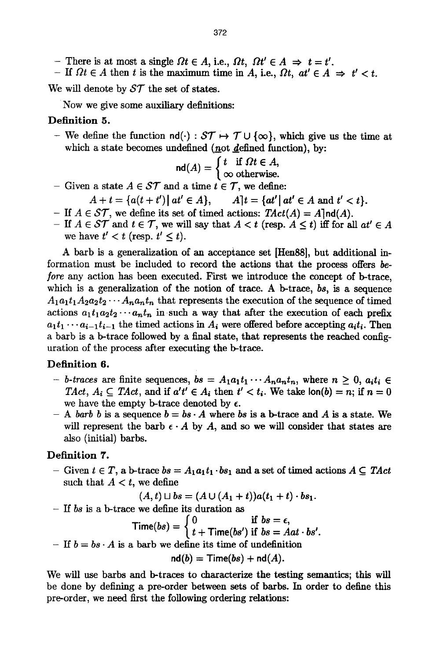- There is at most a single  $\Omega t \in A$ , i.e.,  $\Omega t$ ,  $\Omega t' \in A \Rightarrow t = t'$ .
- If  $\Omega t \in A$  then t is the maximum time in A, i.e.,  $\Omega t$ ,  $at' \in A \Rightarrow t' < t$ .

We will denote by  $ST$  the set of states.

Now we give some auxiliary definitions:

### **Definition 5.**

- We define the function  $\mathsf{nd}(\cdot): \mathcal{ST} \mapsto \mathcal{T} \cup \{\infty\}$ , which give us the time at which a state becomes undefined (not defined function), by:

$$
\mathsf{nd}(A) = \left\{ \begin{array}{ll} t & \text{if } \Omega t \in A, \\ \infty & \text{otherwise.} \end{array} \right.
$$

- Given a state  $A \in \mathcal{ST}$  and a time  $t \in \mathcal{T}$ , we define:
	- $A + t = \{a(t + t') | at' \in A\}, \qquad A[t = \{at' | at' \in A \text{ and } t' < t\}.$
- If  $A \in \mathcal{ST}$ , we define its set of timed actions:  $TAct(A) = A \cdot \text{Ind}(A)$ .
- If  $A \in \mathcal{ST}$  and  $t \in \mathcal{T}$ , we will say that  $A \leq t$  (resp.  $A \leq t$ ) iff for all  $at' \in A$ we have  $t' < t$  (resp.  $t' \leq t$ ).

A barb is a generalization of an acceptance set [Hen88], but additional information must be included to record the actions that the process offers *be*fore any action has been executed. First we introduce the concept of b-trace, which is a generalization of the notion of trace. A b-trace, *bs,* is a sequence  $A_1a_1t_1A_2a_2t_2\cdots A_na_nt_n$  that represents the execution of the sequence of timed actions  $a_1t_1a_2t_2\cdots a_nt_n$  in such a way that after the execution of each prefix  $a_1t_1 \cdots a_{i-1}t_{i-1}$  the timed actions in  $A_i$  were offered before accepting  $a_it_i$ . Then a barb is a b-trace followed by a final state, that represents the reached configuration of the process after executing the b-trace.

### Definition 6.

- *b-traces* are finite sequences,  $bs = A_1a_1t_1 \cdots A_na_nt_n$ , where  $n \geq 0$ ,  $a_it_i \in$ *TAct,*  $A_i \subseteq TAct$ *, and if*  $a't' \in A_i$  *then*  $t' < t_i$ *. We take*  $\text{lon}(b) = n$ *; if*  $n = 0$ we have the empty b-trace denoted by  $\epsilon$ .
- $-$  *A barb b* is a sequence  $b = bs \cdot A$  where *bs* is a b-trace and A is a state. We will represent the barb  $\epsilon \cdot A$  by A, and so we will consider that states are also (initial) barbs.

### Definition 7.

- Given  $t \in T$ , a b-trace  $bs = A_1a_1t_1 \cdot bs_1$  and a set of timed actions  $A \subseteq TAct$ such that  $A < t$ , we define

 $(A, t) \sqcup bs = (A \cup (A_1 + t))a(t_1 + t) \cdot bs_1.$ 

*- If bs* is a b-trace we define its duration as

Time(bs) = 
$$
\begin{cases} 0 & \text{if } bs = \epsilon, \\ t + \text{Time}(bs') & \text{if } bs = Aat \cdot bs'. \end{cases}
$$

- If  $b = bs \cdot A$  is a barb we define its time of undefinition

$$
nd(b) = Time(bs) + nd(A).
$$

We will use barbs and b-traces to characterize the testing semantics; this will be done by defining a pre-order between sets of barbs. In order to define this pre-order, we need first the following ordering relations: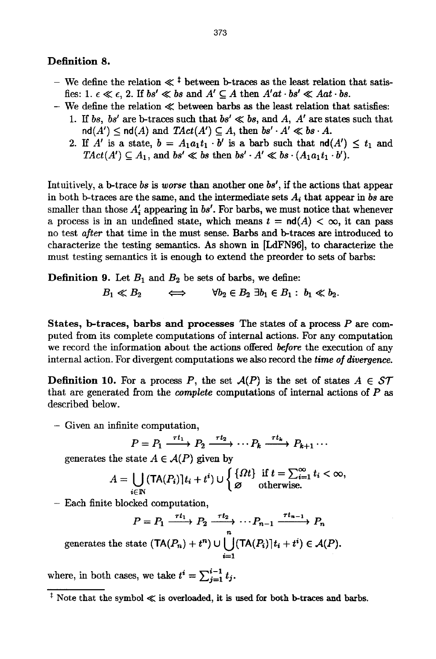### **Definition 8.**

- We define the relation  $\ll \frac{1}{2}$  between b-traces as the least relation that satisfies: 1.  $\epsilon \ll \epsilon$ , 2. If  $bs' \ll bs$  and  $A' \subseteq A$  then  $A'at \cdot bs' \ll Aat \cdot bs$ .
- $-$  We define the relation  $\ll$  between barbs as the least relation that satisfies:
	- 1. If bs, bs' are **b**-traces such that  $bs' \ll bs$ , and A, A' are states such that  $\text{nd}(A') \leq \text{nd}(A)$  and  $TAct(A') \subseteq A$ , then  $bs' \cdot A' \ll bs \cdot A$ .
	- 2. If A' is a state,  $b = A_1 a_1 t_1 \cdot b'$  is a barb such that  $\text{nd}(A') \leq t_1$  and  $TAct(A') \subseteq A_1$ , and  $bs' \ll bs$  then  $bs' \cdot A' \ll bs \cdot (A_1a_1t_1 \cdot b')$ .

Intuitively, a b-trace *bs is worse* than another one *bs',* if the actions that appear in both b-traces are the same, and the intermediate sets  $A_i$  that appear in  $bs$  are smaller than those  $A'$ , appearing in  $bs'$ . For barbs, we must notice that whenever a process is in an undefined state, which means  $t = nd(A) < \infty$ , it can pass no test *after* that time in the must sense. Barbs and b-traces are introduced to characterize the testing semantics. As shown in [LdFN96], to characterize the must testing semantics it is enough to extend the preorder to sets of barbs:

**Definition 9.** Let  $B_1$  and  $B_2$  be sets of barbs, we define:

$$
B_1 \ll B_2 \qquad \Longleftrightarrow \qquad \forall b_2 \in B_2 \; \exists b_1 \in B_1 : b_1 \ll b_2.
$$

**States, b-traces,** barbs and processes The states of a process P are computed from its complete computations of internal actions. For any computation we record the information about the actions offered *before* the execution of any internal action. For divergent computations we also record the *time of divergence.* 

**Definition 10.** For a process P, the set  $\mathcal{A}(P)$  is the set of states  $A \in \mathcal{ST}$ that are generated from the *complete* computations of internal actions of P as described below.

- Given an infinite computation,

$$
P = P_1 \xrightarrow{\tau t_1} P_2 \xrightarrow{\tau t_2} \cdots P_k \xrightarrow{\tau t_k} P_{k+1} \cdots
$$

generates the state  $A \in \mathcal{A}(P)$  given by

$$
A = \bigcup_{i \in \mathbb{N}} (\mathsf{TA}(P_i)|t_i + t^i) \cup \begin{cases} \{\Omega t\} & \text{if } t = \sum_{i=1}^{\infty} t_i < \infty, \\ \varnothing & \text{otherwise.} \end{cases}
$$

- Each finite blocked computation,

$$
P = P_1 \xrightarrow{\tau t_1} P_2 \xrightarrow{n} \cdots P_{n-1} \xrightarrow{\tau t_{n-1}} P_n
$$

generates the state  $(TA(P_n) + t^n) \cup [ (TA(P_i))t_i + t^i) \in \mathcal{A}(P)$ . /=1

where, in both cases, we take  $t^i = \sum_{j=1}^{i-1} t_j$ .

 $\frac{1}{x}$  Note that the symbol  $\ll$  is overloaded, it is used for both b-traces and barbs.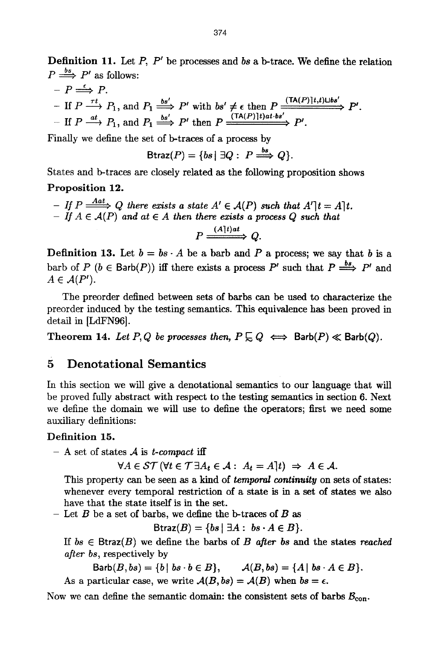Definition 11. Let *P, P'* be processes and *bs* a b-trace. We define the relation  $P \stackrel{bs}{\Longrightarrow} P'$  as follows:

 $-P \stackrel{\epsilon}{\Longrightarrow} P.$  $-$  If  $P \longrightarrow P_1$ , and  $P_1 \longrightarrow P'$  with  $bs' \neq \epsilon$  then  $P \longrightarrow P'$ . If  $P \xrightarrow{at} P_1$ , and  $P_1 \xrightarrow{bs} P'$  then  $P \xrightarrow{(TA(F)) \uplus a \downarrow b} P'$ .

Finally we define the set of b-traces of a process by

$$
B\text{traz}(P) = \{bs \mid \exists Q: P \stackrel{bs}{\Longrightarrow} Q\}.
$$

States and b-traces are closely related as the following proposition shows

#### Proposition 12.

*- If P*  $\xrightarrow{Aat} Q$  there exists a state  $A' \in \mathcal{A}(P)$  such that  $A'|t = A|t$ .  $-$  *If*  $A \in \mathcal{A}(P)$  and at  $\in A$  then there exists a process Q such that *(A]t)at*   $P \longrightarrow Q.$ 

**Definition 13.** Let  $b = bs \cdot A$  be a barb and P a process; we say that b is a barb of P ( $b \in$  Barb(P)) iff there exists a process P' such that  $P \stackrel{bs}{\Longrightarrow} P'$  and  $A \in \mathcal{A}(P^{\prime}).$ 

The preorder defined between sets of barbs can be used to characterize the preorder induced by the testing semantics. This equivalence has been proved in detail in [LdFN96].

Theorem 14. Let P, Q be processes then,  $P \subseteq Q \iff$  Barb(P)  $\ll$  Barb(Q).

# 5 Denotational Semantics

In this section we will give a denotational semantics to our language that will be proved fully abstract with respect to the testing semantics in section 6. Next we define the domain we will use to define the operators; first we need some auxiliary definitions:

#### Definition 15.

 $-$  A set of states  $A$  is *t-compact* iff

 $\forall A \in \mathcal{ST}$  ( $\forall t \in \mathcal{T} \exists A_t \in \mathcal{A} : A_t = A | t$ )  $\Rightarrow A \in \mathcal{A}$ .

This property can be seen as a kind of *temporal continuity* on sets of states: whenever every temporal restriction of a state is in a set of states we also have that the state itself is in the set.

- Let  $B$  be a set of barbs, we define the b-traces of  $B$  as

$$
B\text{traz}(B) = \{bs \mid \exists A : bs \cdot A \in B\}.
$$

*If bs*  $\in$  Btraz $(B)$  we define the barbs of *B* after *bs* and the states *reached after bs,* respectively by

 $\text{Barb}(B, bs) = \{b \mid bs \cdot b \in B\}, \qquad \mathcal{A}(B, bs) = \{A \mid bs \cdot A \in B\}.$ 

As a particular case, we write  $A(B, bs) = A(B)$  when  $bs = \epsilon$ .

Now we can define the semantic domain: the consistent sets of barbs  $B_{\text{con}}$ .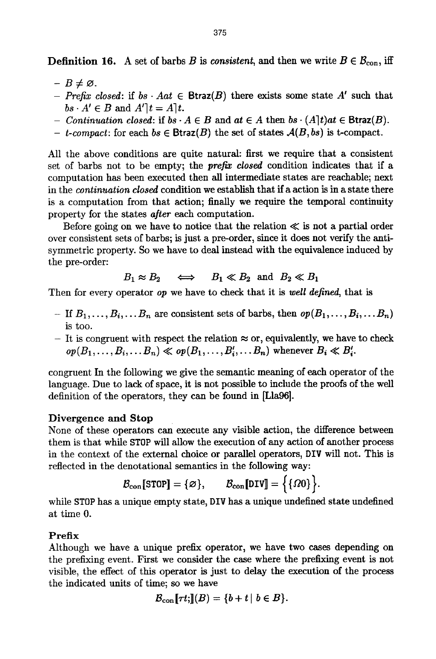**Definition 16.** A set of barbs B is *consistent*, and then we write  $B \in \mathcal{B}_{con}$ , iff

- $-B \neq \emptyset$ .
- Prefix closed: if  $bs \cdot Aat \in \text{Btraz}(B)$  there exists some state A' such that  $bs \cdot A' \in B$  and  $A'|t = A|t$ .
- *Continuation closed:* if  $bs \cdot A \in B$  and  $at \in A$  then  $bs \cdot (A)t$  at  $\in$  Btraz $(B)$ .
- *t*-compact: for each  $bs \in \text{Btraz}(B)$  the set of states  $A(B, bs)$  is *t*-compact.

All the above conditions are quite natural: first we require that a consistent set of barbs not to be empty; the *prefix closed* condition indicates that if a computation has been executed then all intermediate states are reachable; next in the *continuation closed* condition we establish that ifa action is in a state there is a computation from that action; finally we require the temporal continuity property for the states *after* each computation.

Before going on we have to notice that the relation  $\ll$  is not a partial order over consistent sets of barbs; is just a pre-order, since it does not verify the antisymmetric property. So we have to deal instead with the equivalence induced by the pre-order:

$$
B_1 \approx B_2 \quad \iff \quad B_1 \ll B_2 \text{ and } B_2 \ll B_1
$$

Then for every operator *op* we have to check that it is *well defined,* that is

- If  $B_1, \ldots, B_i, \ldots, B_n$  are consistent sets of barbs, then  $op(B_1, \ldots, B_i, \ldots, B_n)$ is too.
- It is congruent with respect the relation  $\approx$  or, equivalently, we have to check  $op(B_1, \ldots, B_i, \ldots, B_n) \ll op(B_1, \ldots, B_i', \ldots, B_n)$  whenever  $B_i \ll B_i'$ .

congruent In the following we give the semantic meaning of each operator of the language. Due to lack of space, it is not possible to include the proofs of the well definition of the operators, they can be found in [Lla96].

### Divergence and Stop

None of these operators can execute any visible action, the difference between them is that while STOP will allow the execution of any action of another process in the context of the external choice or parallel operators, DIV will not. This is reflected in the denotational semantics in the following way:

$$
\mathcal{B}_{con}[\text{STOP}] = \{\varnothing\}, \qquad \mathcal{B}_{con}[\text{DIV}] = \Big\{\{\varOmega 0\}\Big\}.
$$

while STOP has a unique empty state, DIV has a unique undefined state undefined at time O.

### **Prefix**

Although we have a unique prefix operator, we have two cases depending on the prefixing event. First we consider the case where the prefixing event is not visible, the effect of this operator is just to delay the execution of the process the indicated units of time; so we have

$$
\mathcal{B}_{con}[\tau t;](B)=\{b+t \mid b\in B\}.
$$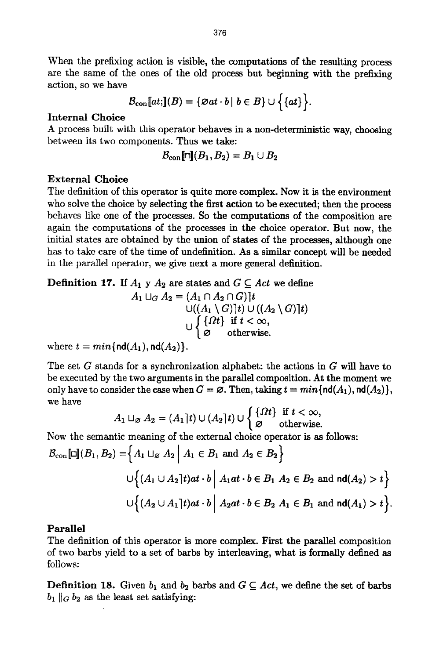When the prefixing action is visible, the computations of the resulting process are the same of the ones of the old process but beginning with the prefixing action, so we have

$$
\mathcal{B}_{con}[\![at;\!](B)=\{\varnothing at\cdot b\,|\,\,b\in B\}\cup\Big\{\{at\}\Big\}.
$$

#### Internal Choice

A process built with this operator behaves in a non-deterministic way, choosing between its two components. Thus we take:

$$
\mathcal{B}_{\text{con}}[\![\sqcap]\!](B_1,B_2)=B_1\cup B_2
$$

### External Choice

The definition of this operator is quite more complex. Now it is the environment who solve the choice by selecting the first action to be executed; then the process behaves like one of the processes. So the computations of the composition are again the computations of the processes in the choice operator. But now, the initial states are obtained by the union of states of the processes, although one has to take care of the time of undefinition. As a similar concept will be needed in the parallel operator, we give next a more general definition.

**Definition 17.** If  $A_1 \times A_2$  are states and  $G \subseteq Act$  we define

$$
A_1 \sqcup_G A_2 = (A_1 \cap A_2 \cap G) \mid t
$$
  
\n
$$
\bigcup \{(A_1 \setminus G) \mid t) \cup ((A_2 \setminus G) \mid t)
$$
  
\n
$$
\bigcup \{ \{ \Omega t \} \text{ if } t < \infty,
$$
  
\n
$$
\varnothing \text{ otherwise.}
$$

where  $t = min\{\text{nd}(A_1), \text{nd}(A_2)\}.$ 

The set G stands for a synchronization alphabet: the actions in  $G$  will have to be executed by the two arguments in the parallel composition. At the moment we only have to consider the case when  $G = \emptyset$ . Then, taking  $t = min\{nd(A_1), nd(A_2)\},\$ we have

$$
A_1 \sqcup_{\varnothing} A_2 = (A_1 \, | \, t) \cup (A_2 \, | \, t) \cup \left\{ \begin{matrix} \{ \Omega t \} & \text{if } t < \infty, \\ \varnothing & \text{otherwise.} \end{matrix} \right.
$$

Now the semantic meaning of the external choice operator is as follows:

$$
\mathcal{B}_{con}[\Box](B_1, B_2) = \Big\{ A_1 \sqcup_{\emptyset} A_2 \Big| A_1 \in B_1 \text{ and } A_2 \in B_2 \Big\}
$$
  

$$
\bigcup \Big\{ (A_1 \cup A_2]t)at \cdot b \Big| A_1at \cdot b \in B_1 \ A_2 \in B_2 \text{ and } \mathsf{nd}(A_2) > t \Big\}
$$
  

$$
\bigcup \Big\{ (A_2 \cup A_1]t)at \cdot b \Big| A_2at \cdot b \in B_2 \ A_1 \in B_1 \text{ and } \mathsf{nd}(A_1) > t \Big\}.
$$

### **Parallel**

The definition of this operator is more complex. First the parallel composition of two barbs yield to a set of barbs by interleaving, what is formally defined as follows:

**Definition 18.** Given  $b_1$  and  $b_2$  barbs and  $G \subseteq Act$ , we define the set of barbs  $b_1 \parallel_G b_2$  as the least set satisfying: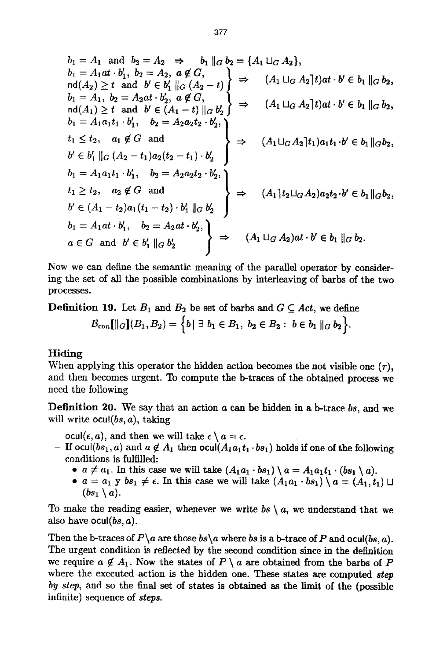$$
b_1 = A_1 \text{ and } b_2 = A_2 \Rightarrow b_1 \|G b_2 = \{A_1 \sqcup_{G} A_2\},
$$
  
\n
$$
b_1 = A_1 a t \cdot b'_1, b_2 = A_2, a \notin G,
$$
  
\n
$$
b_1 = A_1, b_2 = A_2 a t \cdot b'_2, a \notin G,
$$
  
\n
$$
b_1 = A_1, b_2 = A_2 a t \cdot b'_2, a \notin G,
$$
  
\n
$$
b_1 = A_1 a_1 t_1 \cdot b'_1, b_2 = A_2 a_2 t_2 \cdot b'_2,
$$
  
\n
$$
b_1 = A_1 a_1 t_1 \cdot b'_1, b_2 = A_2 a_2 t_2 \cdot b'_2,
$$
  
\n
$$
b_1 = A_1 a_1 t_1 \cdot b'_1, b_2 = A_2 a_2 t_2 \cdot b'_2,
$$
  
\n
$$
b_1 = A_1 a_1 t_1 \cdot b'_1, b_2 = A_2 a_2 t_2 \cdot b'_2,
$$
  
\n
$$
b_1 = A_1 a_1 t_1 \cdot b'_1, b_2 = A_2 a_2 t_2 \cdot b'_2,
$$
  
\n
$$
b_1 = A_1 a_1 t_1 \cdot b'_1, b_2 = A_2 a_2 t_2 \cdot b'_2,
$$
  
\n
$$
b_1 = A_1 a t \cdot b'_1, b_2 = A_2 a t_2 t_2 \cdot b'_2,
$$
  
\n
$$
b_1 = A_1 a t \cdot b'_1, b_2 = A_2 a t \cdot b'_2,
$$
  
\n
$$
b_1 = A_1 a t \cdot b'_1, b_2 = A_2 a t \cdot b'_2,
$$
  
\n
$$
b_1 = A_1 a t \cdot b'_1, b_2 = A_2 a t \cdot b'_2,
$$
  
\n
$$
a \in G \text{ and } b' \in b'_1 \|G b'_2
$$
  
\n
$$
\Rightarrow (A_1 \sqcup_{G} A_2) a t \cdot b' \in b_1 \|G b_2.
$$

Now we can define the semantic meaning of the parallel operator by considering the set of all the possible combinations by interleaving of barbs of the two processes.

**Definition 19.** Let  $B_1$  and  $B_2$  be set of barbs and  $G \subseteq Act$ , we define

 $\mathcal{B}_{\text{con}}[\mathcal{B}_{1}(B_{1}, B_{2}) = \{b | \exists b_{1} \in B_{1}, b_{2} \in B_{2}: b \in b_{1} \parallel_{G} b_{2}\}.$ 

### **Hiding**

When applying this operator the hidden action becomes the not visible one  $(\tau)$ , and then becomes urgent. To compute the b-traces of the obtained process we need the following

Definition 20. We say that an action a can be hidden in a b-trace *bs,* and we will write ocul(bs, a), taking

- $\epsilon$  ocul( $\epsilon$ , a), and then we will take  $\epsilon \setminus a = \epsilon$ .
- If ocul(bs<sub>1</sub>, a) and  $a \notin A_1$  then  $\text{ocul}(A_1a_1t_1 \cdot bs_1)$  holds if one of the following conditions is fulfilled:
	- $a \neq a_1$ . In this case we will take  $(A_1a_1 \cdot bs_1) \setminus a = A_1a_1t_1 \cdot (bs_1 \setminus a)$ .
	- $a = a_1$  *y bs<sub>1</sub>*  $\neq$   $\epsilon$ . In this case we will take  $(A_1a_1 \cdot bs_1) \setminus a = (A_1, t_1) \cup$  $(bs_1 \setminus a)$ .

To make the reading easier, whenever we write  $bs \setminus a$ , we understand that we also have ocul $(bs, a)$ .

Then the b-traces of  $P \setminus a$  are those  $bs \setminus a$  where  $bs$  is a b-trace of  $P$  and ocul(bs, *a*). The urgent condition is reflected by the second condition since in the definition we require  $a \notin A_1$ . Now the states of  $P \setminus a$  are obtained from the barbs of P where the executed action is the hidden one. These states are computed *step by step,* and so the final set of states is obtained as the limit of the (possible infinite) sequence of *steps.*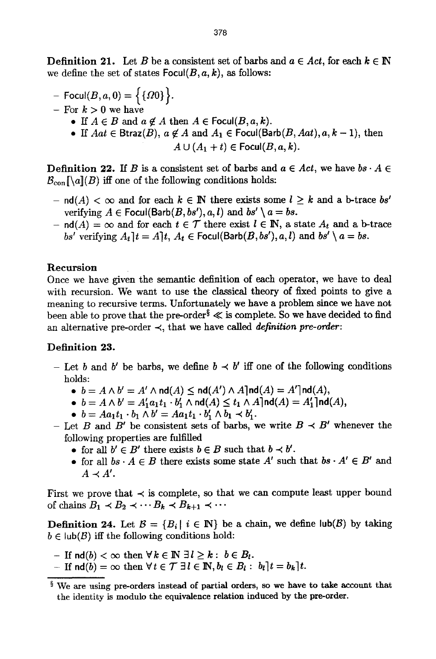**Definition 21.** Let B be a consistent set of barbs and  $a \in Act$ , for each  $k \in \mathbb{N}$ we define the set of states  $Focul(B, a, k)$ , as follows:

- $-$  Focul $(B, a, 0) = \{ \{00\} \}.$
- For  $k>0$  we have
	- If  $A \in B$  and  $a \notin A$  then  $A \in \text{Focul}(B, a, k)$ .
	- If  $Aat \in \text{Btraz}(B)$ ,  $a \notin A$  and  $A_1 \in \text{Focul}(\text{Barb}(B, Aat), a, k-1)$ , then  $A \cup (A_1 + t) \in \text{Focul}(B, a, k).$

**Definition 22.** If B is a consistent set of barbs and  $a \in Act$ , we have  $bs \cdot A \in$  $\mathcal{B}_{con}[\lceil a \rceil(B)]$  iff one of the following conditions holds:

- $-$  nd(A)  $< \infty$  and for each  $k \in \mathbb{N}$  there exists some  $l \geq k$  and a b-trace *bs'* verifying  $A \in \text{Focul}(\text{Barb}(B, bs'), a, l)$  and  $bs' \setminus a = bs$ .
- $\mathsf{nd}(A) = \infty$  and for each  $t \in \mathcal{T}$  there exist  $l \in \mathbb{N}$ , a state  $A_t$  and a b-trace *bs'* verifying  $A_t$   $t = A$   $t$ ,  $A_t \in$  Focul(Barb( $B$ ,  $bs'$ ),  $a$ ,  $t$ ) and  $bs' \setminus a = bs$ .

#### **Recursion**

Once we have given the semantic definition of each operator, we have to deal with recursion. We want to use the classical theory of fixed points to give a meaning to recursive terms. Unfortunately we have a problem since we have not been able to prove that the pre-order<sup>§</sup>  $\ll$  is complete. So we have decided to find an alternative pre-order  $\prec$ , that we have called *definition pre-order*:

#### Definition 23.

- Let b and b' be barbs, we define  $b \prec b'$  iff one of the following conditions holds:
	- $\bullet \ \ b = A \wedge b' = A' \wedge \mathsf{nd}(A) \leq \mathsf{nd}(A') \wedge A \mathsf{Ind}(A) = A' \mathsf{Ind}(A),$
	- $b = A \wedge b' = A'_1 a_1 t_1 \cdot b'_1 \wedge \text{nd}(A) \le t_1 \wedge A \mid \text{nd}(A) = A'_1 \mid \text{nd}(A),$
	- $b = Aa_1t_1 \cdot b_1 \wedge b' = Aa_1t_1 \cdot b'_1 \wedge b_1 \prec b'_1.$
- Let B and B' be consistent sets of barbs, we write  $B \prec B'$  whenever the following properties are fulfilled
	- for all  $b' \in B'$  there exists  $b \in B$  such that  $b \prec b'$ .
	- for all  $bs \cdot A \in B$  there exists some state  $A'$  such that  $bs \cdot A' \in B'$  and  $A \prec A'$ .

First we prove that  $\prec$  is complete, so that we can compute least upper bound of chains  $B_1 \prec B_2 \prec \cdots B_k \prec B_{k+1} \prec \cdots$ 

**Definition 24.** Let  $B = {B_i | i \in \mathbb{N}}$  be a chain, we define lub(B) by taking  $b \in \text{lub}(\mathcal{B})$  iff the following conditions hold:

- $-$  **If**  $\text{nd}(b) < \infty$  then  $\forall k \in \mathbb{N} \exists l \geq k : b \in B_l$ .
- If  $\mathrm{nd}(b) = \infty$  then  $\forall t \in \mathcal{T} \ \exists l \in \mathbb{N}, b_l \in B_l : b_l \, | t = b_k \, | t$ .

 $\frac{1}{3}$  We are using pre-orders instead of partial orders, so we have to take account that the identity is modulo the equivalence relation induced by the pre-order.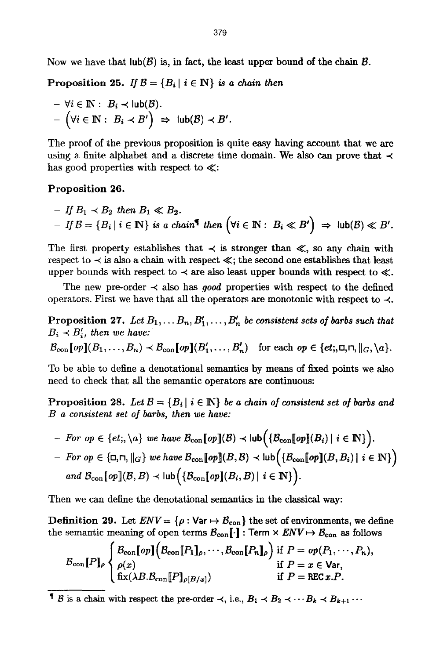Now we have that  $\text{lub}(\mathcal{B})$  is, in fact, the least upper bound of the chain  $\mathcal{B}$ .

Proposition 25. If  $B = {B_i | i \in \mathbb{N}}$  is a chain then

$$
- \forall i \in \mathbb{N}: B_i \prec \mathsf{lub}(\mathcal{B}).
$$
  
- 
$$
(\forall i \in \mathbb{N}: B_i \prec B') \Rightarrow \mathsf{lub}(\mathcal{B}) \prec B'.
$$

The proof of the previous proposition is quite easy having account that we are using a finite alphabet and a discrete time domain. We also can prove that  $\prec$ has good properties with respect to  $\ll$ :

#### Proposition 26.

- If 
$$
B_1 \lt B_2
$$
 then  $B_1 \ll B_2$ .  
\n- If  $B = \{B_i | i \in \mathbb{N}\}$  is a chain<sup>1</sup> then  $(\forall i \in \mathbb{N} : B_i \ll B') \Rightarrow \text{lub}(B) \ll B'$ .

The first property establishes that  $\prec$  is stronger than  $\ll$ , so any chain with respect to  $\prec$  is also a chain with respect  $\ll$ ; the second one establishes that least upper bounds with respect to  $\prec$  are also least upper bounds with respect to  $\ll$ .

The new pre-order  $\prec$  also has *good* properties with respect to the defined operators. First we have that all the operators are monotonic with respect to  $\prec$ .

Proposition 27. Let  $B_1, \ldots, B_n, B'_1, \ldots, B'_n$  be consistent sets of barbs such that  $B_i \prec B'_i$ , then we have:

 $\mathcal{B}_{con}[\![op]\!(B_1,\ldots,B_n)\prec\mathcal{B}_{con}[\![op]\!(B'_1,\ldots,B'_n)\!]$  for each  $op\in\{et;,\sqcup,\sqcap,\sqcup_G,\setminus a\}.$ 

To be able to define a denotational semantics by means of fixed points we also need to check that all the semantic operators are continuous:

Proposition 28. Let  $\mathcal{B} = \{B_i \mid i \in \mathbb{N}\}\$  be a chain of consistent set of barbs and *B a consistent set of barbs, then we have:* 

- *For op*  $\in$  {et;, \a} we have  $\mathcal{B}_{con}[\text{op}](\mathcal{B}) \prec \text{lub}(\{\mathcal{B}_{con}[\text{op}](B_i) | i \in \mathbb{N}\})$ .
- $F$   $F$   $\circ$   $p \in \{\Box, \Box, \Vert_{G}\}$  we have  $\mathcal{B}_{\mathrm{con}}[\![op]\!](B, \mathcal{B}) \prec \mathrm{lub}\Big(\{\mathcal{B}_{\mathrm{con}}[\![op]\!](B, B_i) \mid i \in \mathbb{N}\}\Big).$ *and*  $\mathcal{B}_{con}[\textit{op}](\mathcal{B}, B) \prec \text{lub}\Big(\{\mathcal{B}_{con}[\textit{op}](B_i, B) \mid i \in \mathbb{N}\}\Big).$

Then we can define the denotational semantics in the classical way:

**Definition 29.** Let  $ENV = \{ \rho : \text{Var} \mapsto \mathcal{B}_{con} \}$  the set of environments, we define the semantic meaning of open terms  $\mathcal{B}_{con}[\cdot]$  : Term  $\times$  *ENV*  $\mapsto$   $\mathcal{B}_{con}$  as follows

$$
\mathcal{B}_{\text{con}}[P]_{\rho}\begin{cases} \mathcal{B}_{\text{con}}[op] \big( \mathcal{B}_{\text{con}}[P_1]_{\rho}, \cdots, \mathcal{B}_{\text{con}}[P_n]_{\rho} \big) \text{ if } P = op(P_1, \cdots, P_n), \\ \rho(x) & \text{if } P = x \in \text{Var}, \\ \text{fix}(\lambda B. \mathcal{B}_{\text{con}}[P]_{\rho[B/x]}) & \text{if } P = \text{REC } x.P. \end{cases}
$$

**8** is a chain with respect the pre-order  $\prec$ , i.e.,  $B_1 \prec B_2 \prec \cdots B_k \prec B_{k+1} \cdots$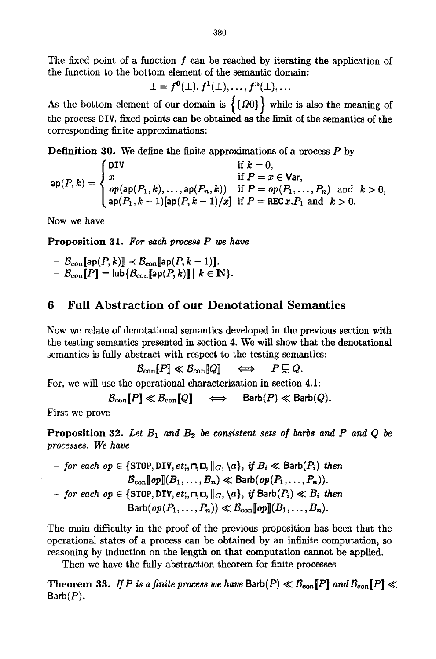The fixed point of a function  $f$  can be reached by iterating the application of the function to the bottom element of the semantic domain:

$$
\bot = f^0(\bot), f^1(\bot), \ldots, f^n(\bot), \ldots
$$

As the bottom element of our domain is  $\{ \{00\} \}$  while is also the meaning of the process DIV, fixed points can be obtained as the limit of the semantics of the corresponding finite approximations:

**Definition** 30. We define the finite approximations of a process P by

$$
\mathsf{ap}(P,k) = \begin{cases} \mathsf{DIV} & \text{if } k = 0, \\ x & \text{if } P = x \in \mathsf{Var}, \\ op(\mathsf{ap}(P_1,k),\ldots,\mathsf{ap}(P_n,k)) & \text{if } P = op(P_1,\ldots,P_n) \text{ and } k > 0, \\ \mathsf{ap}(P_1,k-1)[\mathsf{ap}(P,k-1)/x] & \text{if } P = \mathtt{REC} \, x \, P_1 \text{ and } k > 0. \end{cases}
$$

Now we have

**Proposition** 31. *For each process P we have* 

- $\mathcal{B}_{\text{con}}[\textsf{ap}(P,k)] \prec \mathcal{B}_{\text{con}}[\textsf{ap}(P,k+1)].$
- $\mathcal{B}_{con} [P] = \text{lub} \{ \mathcal{B}_{con} [\text{lap}(P, k)] \mid k \in \mathbb{N} \}.$

# **6 Full Abstraction of our Denotational Semantics**

Now we relate of denotational semantics developed in the previous section with the testing semantics presented in section 4. We will show that the denotational semantics is fully abstract with respect to the testing semantics:

 $\mathcal{B}_{con}[P] \ll \mathcal{B}_{con}[Q] \quad \Longleftrightarrow \quad P \sqsubseteq Q.$ 

For, we will use the operational characterization in section 4.1:

$$
\mathcal{B}_{con}[P] \ll \mathcal{B}_{con}[Q] \quad \iff \quad \text{Barb}(P) \ll \text{Barb}(Q).
$$

First we prove

**Proposition 32.** Let  $B_1$  and  $B_2$  be consistent sets of barbs and P and Q be *processes. We have* 

\n- \n
$$
-
$$
 for each  $op \in \{\text{STOP}, \text{DIV}, et, \text{r}, \text{r}, \text{r}, \text{r}, \text{r}, \text{r}\}, \text{if } B_i \ll \text{Barb}(P_i)$  then\n  $B_{con}[\![op]\!](B_1, \ldots, B_n) \ll \text{Barb}(op(P_1, \ldots, P_n))$ \n
\n- \n $-$  for each  $op \in \{\text{STOP}, \text{DIV}, et, \text{r}, \text{r}, \text{r}, \text{r}\}, \text{if } B_{\text{arb}}(P_i) \ll B_i$  then\n  $\text{Barb}(op(P_1, \ldots, P_n)) \ll B_{con}[\![op]\!](B_1, \ldots, B_n)$ .\n
\n

The main difficulty in the proof of the previous proposition has been that the operational states of a process can be obtained by an infinite computation, so reasoning by induction on the length on that computation cannot be applied.

Then we have the fully abstraction theorem for finite processes

**Theorem 33.** *If* P is a finite process we have  $\text{Barb}(P) \ll \mathcal{B}_{\text{con}}[P]$  and  $\mathcal{B}_{\text{con}}[P] \ll \mathcal{B}_{\text{con}}[P]$  $Barb(P)$ .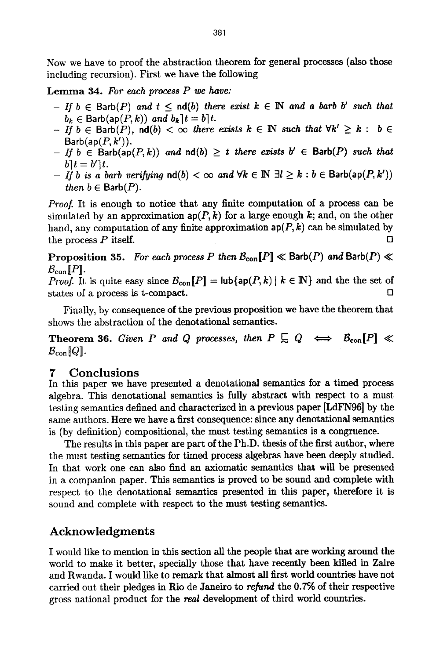Now we have to proof the abstraction theorem for general processes (also those including recursion). First we have the following

Lemma 34. *For each process P we have:* 

- *If*  $b \in$  Barb(P) and  $t \leq$  nd(b) there exist  $k \in \mathbb{N}$  and a barb b' such that  $b_k \in$  Barb(ap( $P, k$ )) and  $b_k$ ] $t = b$ ] $t$ .
- $-If b \in$  Barb $(P)$ ,  $\text{nd}(b) < \infty$  *there exists*  $k \in \mathbb{N}$  *such that*  $\forall k' \geq k : b \in$  $Barb(ap(P, k')).$
- $-$  If  $b \in$  Barb(ap(P,k)) and  $nd(b) \geq t$  there exists  $b' \in$  Barb(P) such that  $b\overline{\ }t=b^{\prime}\overline{\ }t.$
- *If b is a barb verifying*  $\text{nd}(b) < \infty$  and  $\forall k \in \mathbb{N} \exists l \geq k : b \in \text{Barb}(\text{ap}(P, k'))$ *then*  $b \in$  Barb $(P)$ .

*Proof.* It is enough to notice that any finite computation of a process can be simulated by an approximation  $ap(P, k)$  for a large enough k; and, on the other hand, any computation of any finite approximation  $ap(P, k)$  can be simulated by the process P itself.  $\Box$ 

Proposition 35. *For each process P then*  $B_{con}[P] \ll$  Barb(P) and Barb(P)  $\ll$  $\mathcal{B}_{con}$   $[P]$ .

*Proof.* It is quite easy since  $\mathcal{B}_{con}[\![P]\!] = \text{lub}\{\text{ap}(P, k) \mid k \in \mathbb{N}\}\$  and the the set of states of a process is t-compact. []

Finally, by consequence of the previous proposition we have the theorem that shows the abstraction of the denotational semantics.

Theorem 36. *Given P and Q processes, then*  $P \subseteq Q \iff B_{con}[P] \ll$  $\mathcal{B}_{con}[Q]$ .

# **7 Conclusions**

In this paper we have presented a denotational semantics for a timed process algebra. This denotational semantics is fully abstract with respect to a must testing semantics defined and characterized in a previous paper [LdFN96] by the same authors. Here we have a first consequence: since any denotational semantics is (by definition) compositional, the must testing semantics is a congruence.

The results in this paper are part of the Ph.D. thesis of the first author, where the must testing semantics for timed process algebras have been deeply studied. In that work one can also find an axiomatic semantics that will be presented in a companion paper. This semantics is proved to be sound and complete with respect to the denotational semantics presented in this paper, therefore it is sound and complete with respect to the must testing semantics.

# Acknowledgments

I would like to mention in this section all the people that are working around the world to make it better, specially those that have recently been killed in Zaire and Rwanda. I would like to remark that almost all first world countries have not carried out their pledges in Rio de Janeiro to *refnnd* the 0.7% of their respective gross national product for the real development of third world countries.